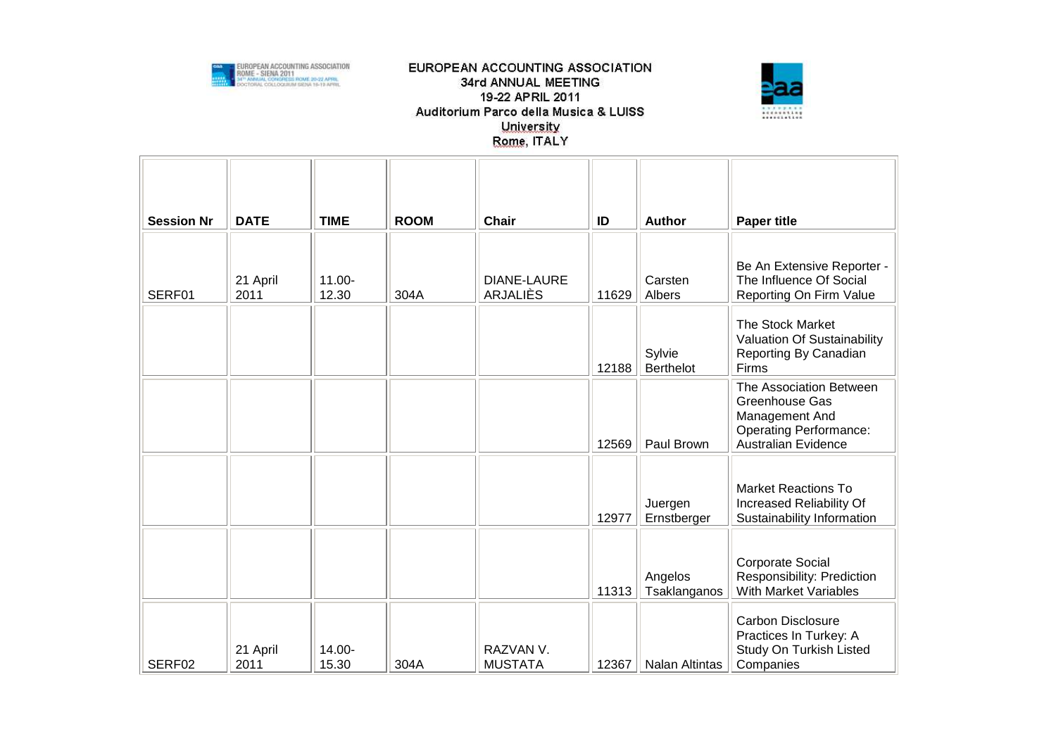



| <b>Session Nr</b> | <b>DATE</b>      | <b>TIME</b>        | <b>ROOM</b> | <b>Chair</b>                   | ID    | <b>Author</b>              | <b>Paper title</b>                                                                                                         |
|-------------------|------------------|--------------------|-------------|--------------------------------|-------|----------------------------|----------------------------------------------------------------------------------------------------------------------------|
| SERF01            | 21 April<br>2011 | $11.00 -$<br>12.30 | 304A        | <b>DIANE-LAURE</b><br>ARJALIÈS | 11629 | Carsten<br>Albers          | Be An Extensive Reporter -<br>The Influence Of Social<br>Reporting On Firm Value                                           |
|                   |                  |                    |             |                                | 12188 | Sylvie<br><b>Berthelot</b> | The Stock Market<br>Valuation Of Sustainability<br>Reporting By Canadian<br>Firms                                          |
|                   |                  |                    |             |                                | 12569 | Paul Brown                 | The Association Between<br>Greenhouse Gas<br>Management And<br><b>Operating Performance:</b><br><b>Australian Evidence</b> |
|                   |                  |                    |             |                                | 12977 | Juergen<br>Ernstberger     | <b>Market Reactions To</b><br>Increased Reliability Of<br>Sustainability Information                                       |
|                   |                  |                    |             |                                | 11313 | Angelos<br>Tsaklanganos    | <b>Corporate Social</b><br>Responsibility: Prediction<br>With Market Variables                                             |
| SERF02            | 21 April<br>2011 | 14.00-<br>15.30    | 304A        | RAZVAN V.<br><b>MUSTATA</b>    | 12367 | <b>Nalan Altintas</b>      | <b>Carbon Disclosure</b><br>Practices In Turkey: A<br>Study On Turkish Listed<br>Companies                                 |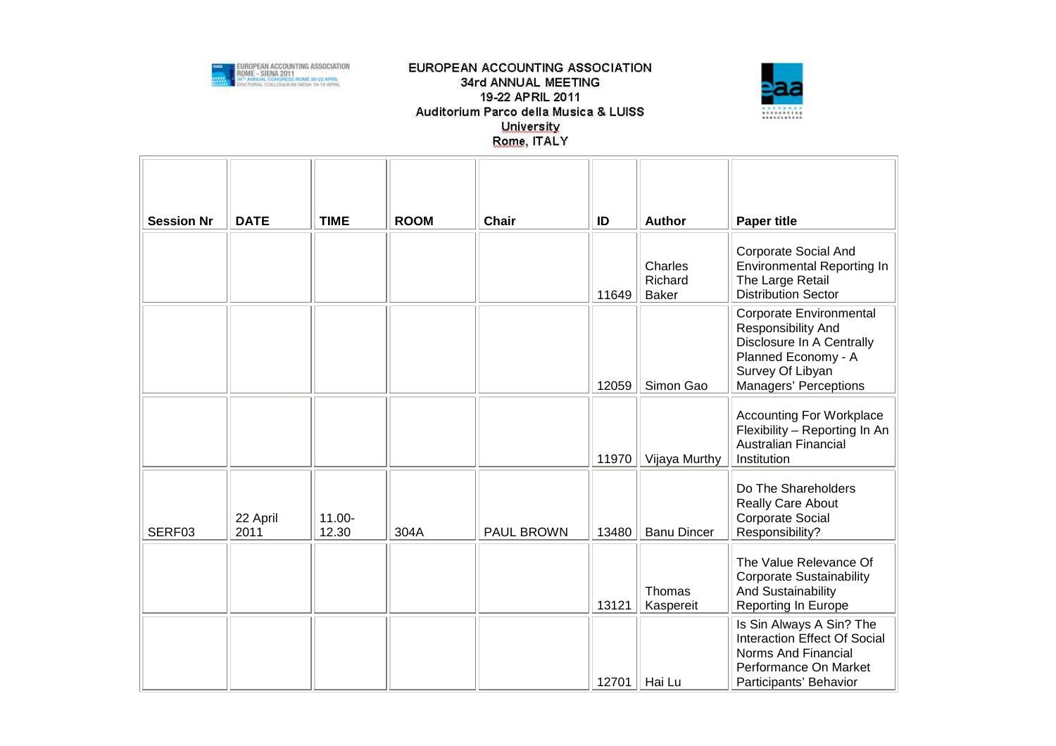



| <b>Session Nr</b> | <b>DATE</b>      | <b>TIME</b>        | <b>ROOM</b> | <b>Chair</b> | ID    | <b>Author</b>                      | <b>Paper title</b>                                                                                                                             |
|-------------------|------------------|--------------------|-------------|--------------|-------|------------------------------------|------------------------------------------------------------------------------------------------------------------------------------------------|
|                   |                  |                    |             |              | 11649 | Charles<br>Richard<br><b>Baker</b> | Corporate Social And<br><b>Environmental Reporting In</b><br>The Large Retail<br><b>Distribution Sector</b>                                    |
|                   |                  |                    |             |              | 12059 | Simon Gao                          | Corporate Environmental<br>Responsibility And<br>Disclosure In A Centrally<br>Planned Economy - A<br>Survey Of Libyan<br>Managers' Perceptions |
|                   |                  |                    |             |              | 11970 | Vijaya Murthy                      | <b>Accounting For Workplace</b><br>Flexibility - Reporting In An<br>Australian Financial<br>Institution                                        |
| SERF03            | 22 April<br>2011 | $11.00 -$<br>12.30 | 304A        | PAUL BROWN   | 13480 | <b>Banu Dincer</b>                 | Do The Shareholders<br>Really Care About<br><b>Corporate Social</b><br>Responsibility?                                                         |
|                   |                  |                    |             |              | 13121 | Thomas<br>Kaspereit                | The Value Relevance Of<br><b>Corporate Sustainability</b><br>And Sustainability<br><b>Reporting In Europe</b>                                  |
|                   |                  |                    |             |              | 12701 | Hai Lu                             | Is Sin Always A Sin? The<br>Interaction Effect Of Social<br>Norms And Financial<br>Performance On Market<br>Participants' Behavior             |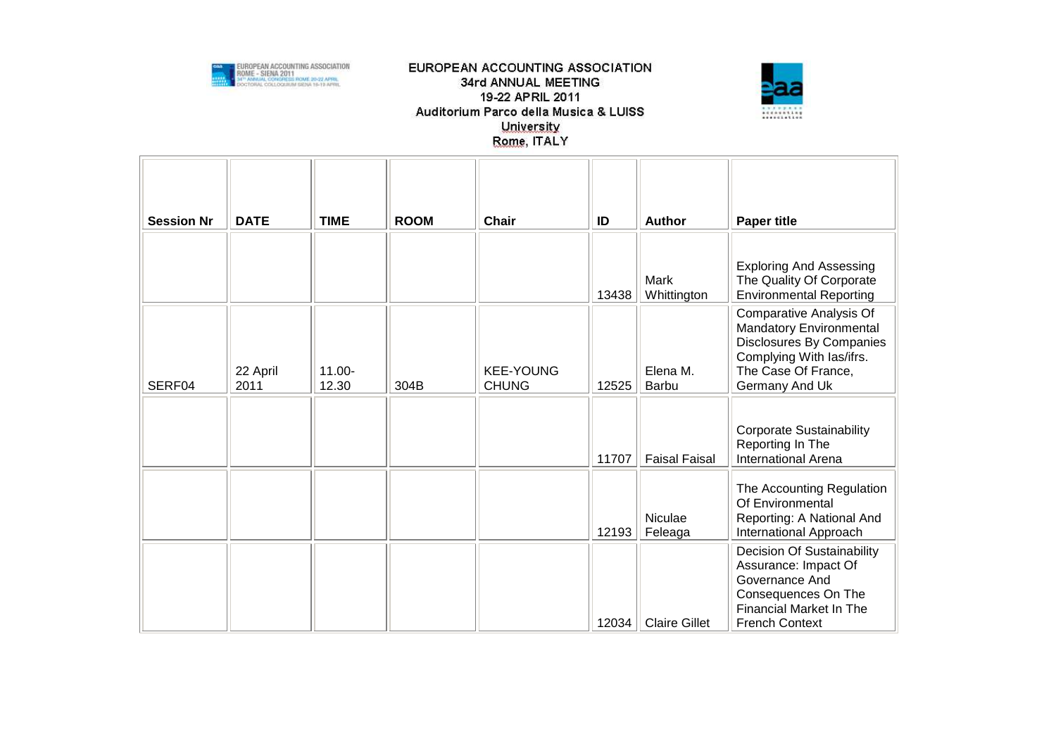



| <b>Session Nr</b> | <b>DATE</b>      | <b>TIME</b>        | <b>ROOM</b> | <b>Chair</b>                     | ID    | <b>Author</b>            | <b>Paper title</b>                                                                                                                                            |
|-------------------|------------------|--------------------|-------------|----------------------------------|-------|--------------------------|---------------------------------------------------------------------------------------------------------------------------------------------------------------|
|                   |                  |                    |             |                                  | 13438 | Mark<br>Whittington      | <b>Exploring And Assessing</b><br>The Quality Of Corporate<br><b>Environmental Reporting</b>                                                                  |
| SERF04            | 22 April<br>2011 | $11.00 -$<br>12.30 | 304B        | <b>KEE-YOUNG</b><br><b>CHUNG</b> | 12525 | Elena M.<br><b>Barbu</b> | <b>Comparative Analysis Of</b><br>Mandatory Environmental<br>Disclosures By Companies<br>Complying With las/ifrs.<br>The Case Of France,<br>Germany And Uk    |
|                   |                  |                    |             |                                  | 11707 | <b>Faisal Faisal</b>     | <b>Corporate Sustainability</b><br>Reporting In The<br><b>International Arena</b>                                                                             |
|                   |                  |                    |             |                                  | 12193 | Niculae<br>Feleaga       | The Accounting Regulation<br>Of Environmental<br>Reporting: A National And<br>International Approach                                                          |
|                   |                  |                    |             |                                  | 12034 | <b>Claire Gillet</b>     | <b>Decision Of Sustainability</b><br>Assurance: Impact Of<br>Governance And<br>Consequences On The<br><b>Financial Market In The</b><br><b>French Context</b> |